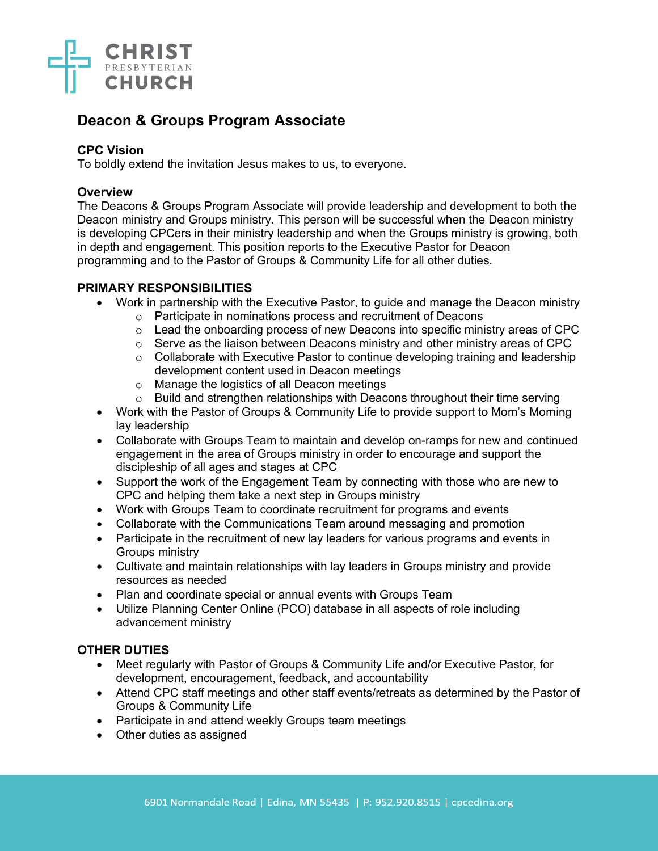

# **Deacon & Groups Program Associate**

## **CPC Vision**

To boldly extend the invitation Jesus makes to us, to everyone.

## **Overview**

The Deacons & Groups Program Associate will provide leadership and development to both the Deacon ministry and Groups ministry. This person will be successful when the Deacon ministry is developing CPCers in their ministry leadership and when the Groups ministry is growing, both in depth and engagement. This position reports to the Executive Pastor for Deacon programming and to the Pastor of Groups & Community Life for all other duties.

## **PRIMARY RESPONSIBILITIES**

- Work in partnership with the Executive Pastor, to guide and manage the Deacon ministry
	- o Participate in nominations process and recruitment of Deacons
	- o Lead the onboarding process of new Deacons into specific ministry areas of CPC
	- o Serve as the liaison between Deacons ministry and other ministry areas of CPC
	- o Collaborate with Executive Pastor to continue developing training and leadership development content used in Deacon meetings
	- o Manage the logistics of all Deacon meetings
	- o Build and strengthen relationships with Deacons throughout their time serving
- Work with the Pastor of Groups & Community Life to provide support to Mom's Morning lay leadership
- Collaborate with Groups Team to maintain and develop on-ramps for new and continued engagement in the area of Groups ministry in order to encourage and support the discipleship of all ages and stages at CPC
- Support the work of the Engagement Team by connecting with those who are new to CPC and helping them take a next step in Groups ministry
- Work with Groups Team to coordinate recruitment for programs and events
- Collaborate with the Communications Team around messaging and promotion
- Participate in the recruitment of new lay leaders for various programs and events in Groups ministry
- Cultivate and maintain relationships with lay leaders in Groups ministry and provide resources as needed
- Plan and coordinate special or annual events with Groups Team
- Utilize Planning Center Online (PCO) database in all aspects of role including advancement ministry

# **OTHER DUTIES**

- Meet regularly with Pastor of Groups & Community Life and/or Executive Pastor, for development, encouragement, feedback, and accountability
- Attend CPC staff meetings and other staff events/retreats as determined by the Pastor of Groups & Community Life
- Participate in and attend weekly Groups team meetings
- Other duties as assigned